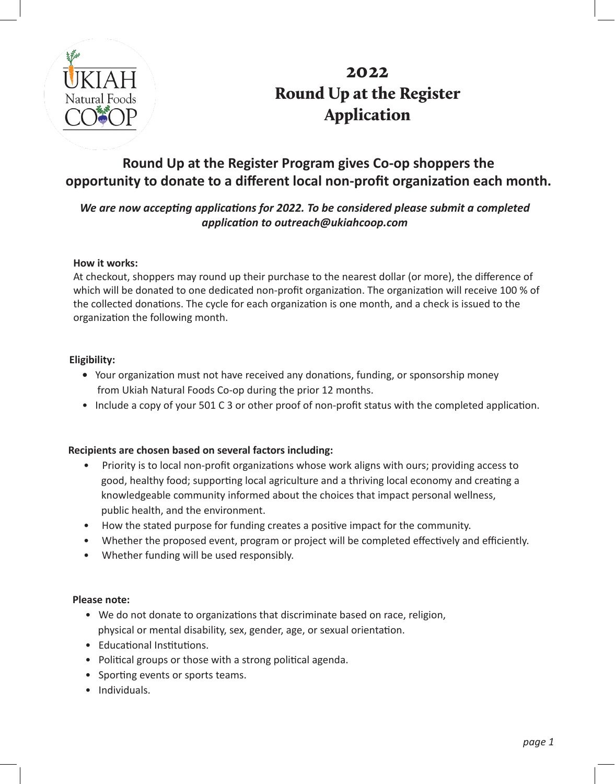

## 2022 Round Up at the Register Application

### **Round Up at the Register Program gives Co-op shoppers the opportunity to donate to a different local non-profit organization each month.**

### *We are now accepting applications for 2022. To be considered please submit a completed application to outreach@ukiahcoop.com*

#### **How it works:**

At checkout, shoppers may round up their purchase to the nearest dollar (or more), the difference of which will be donated to one dedicated non-profit organization. The organization will receive 100 % of the collected donations. The cycle for each organization is one month, and a check is issued to the organization the following month.

#### **Eligibility:**

- Your organization must not have received any donations, funding, or sponsorship money from Ukiah Natural Foods Co-op during the prior 12 months.
- Include a copy of your 501 C 3 or other proof of non-profit status with the completed application.

#### **Recipients are chosen based on several factors including:**

- Priority is to local non-profit organizations whose work aligns with ours; providing access to good, healthy food; supporting local agriculture and a thriving local economy and creating a knowledgeable community informed about the choices that impact personal wellness, public health, and the environment.
- How the stated purpose for funding creates a positive impact for the community.
- Whether the proposed event, program or project will be completed effectively and efficiently.
- Whether funding will be used responsibly.

#### **Please note:**

- We do not donate to organizations that discriminate based on race, religion, physical or mental disability, sex, gender, age, or sexual orientation.
- Educational Institutions.
- Political groups or those with a strong political agenda.
- Sporting events or sports teams.
- Individuals.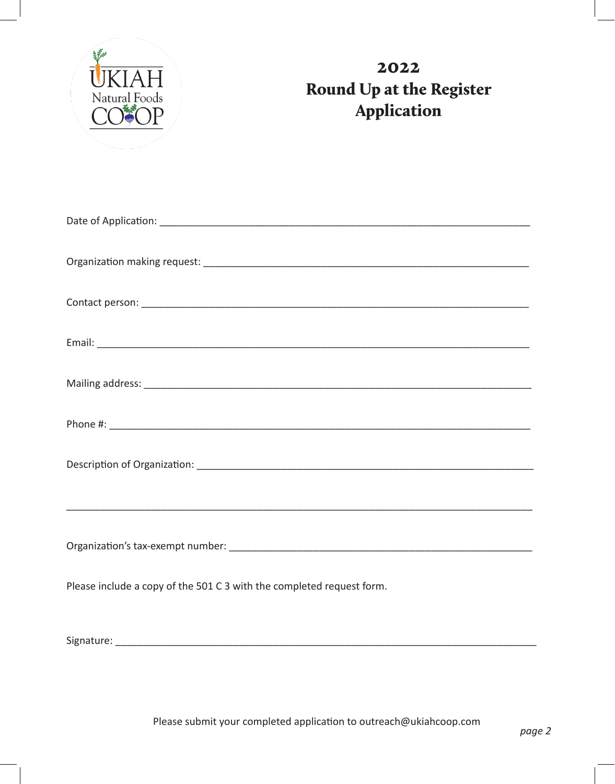

# 2022 Round Up at the Register Application

| Please include a copy of the 501 C 3 with the completed request form. |
|-----------------------------------------------------------------------|
|                                                                       |

Please submit your completed application to outreach@ukiahcoop.com